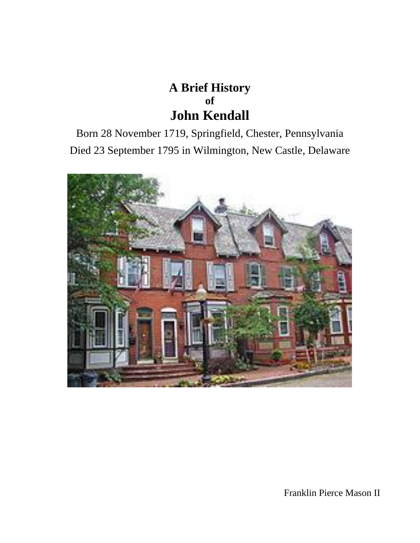## **A Brief History of John Kendall**

Born 28 November 1719, Springfield, Chester, Pennsylvania Died 23 September 1795 in Wilmington, New Castle, Delaware



Franklin Pierce Mason II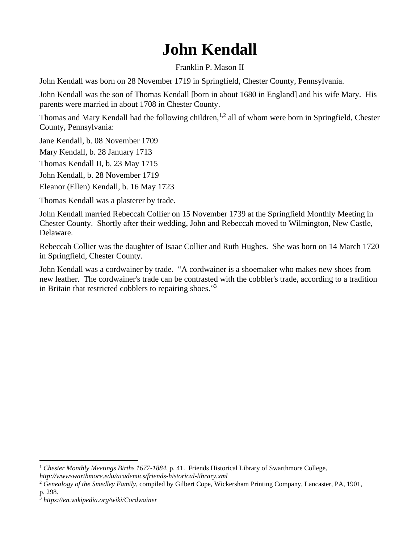## **John Kendall**

Franklin P. Mason II

John Kendall was born on 28 November 1719 in Springfield, Chester County, Pennsylvania.

John Kendall was the son of Thomas Kendall [born in about 1680 in England] and his wife Mary. His parents were married in about 1708 in Chester County.

Thomas and Mary Kendall had the following children,<sup>1,2</sup> all of whom were born in Springfield, Chester County, Pennsylvania:

Jane Kendall, b. 08 November 1709

Mary Kendall, b. 28 January 1713

Thomas Kendall II, b. 23 May 1715

John Kendall, b. 28 November 1719

Eleanor (Ellen) Kendall, b. 16 May 1723

Thomas Kendall was a plasterer by trade.

John Kendall married Rebeccah Collier on 15 November 1739 at the Springfield Monthly Meeting in Chester County. Shortly after their wedding, John and Rebeccah moved to Wilmington, New Castle, Delaware.

Rebeccah Collier was the daughter of Isaac Collier and Ruth Hughes. She was born on 14 March 1720 in Springfield, Chester County.

John Kendall was a cordwainer by trade. "A cordwainer is a [shoemaker](https://en.wikipedia.org/wiki/Shoemaking) who makes new shoes from new leather. The cordwainer's trade can be contrasted with the cobbler's trade, according to a tradition in Britain that restricted cobblers to repairing shoes."<sup>3</sup>

<sup>1</sup> *Chester Monthly Meetings Births 1677-1884*, p. 41. Friends Historical Library of Swarthmore College, *http://wwwswarthmore.edu/academics/friends-historical-library.xml*

<sup>2</sup> *Genealogy of the Smedley Family*, compiled by Gilbert Cope, Wickersham Printing Company, Lancaster, PA, 1901, p. 298.

<sup>3</sup> *https://en.wikipedia.org/wiki/Cordwainer*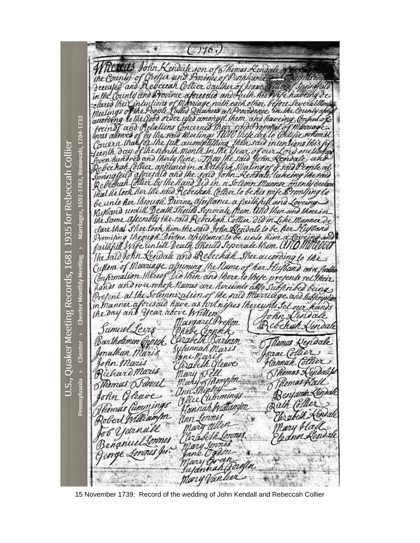$776.$ 78 Iolin k son of Chimas:  $\mu$  or nnee o 16 decea Brovince aftrescie anothuch. miage. rvith each. Colled Quakers al Providence eonti mee unas o Hre. according to the Marriages, 1692-1782, Removals, 1704-1733 Good order wed amongh shem ercinds and R Concern elations coio C Inas allence Con We allomni U.S., Quaker Meeting Records, 1681-1935 for Rebeccah Collier  $l$ *hc* $n$ month in Mirly Nine 5 co and Collier  $\alpha$ <sub>n</sub> said reared in  $\alpha$ ind said. aforesalo and the. ate lakeing duer by the hand fid in a solemn Manner look her the said Rebeckan Colher to be his e Brom Hal be unto her through Divine aprilance a and Hyband untill cath Should Seperate therein Und ther and the same afscmbly the said R Cleckah Collier did in Like Manner de clare that Shee took him the said John Sendale to be her Ibano *Ihrough* Divine abiliance to be unto him a  $p_{\text{sim}'/ing}$ e untill Death Should Seperate them Ul > Chester Monthly Meeting > and Rebeckah Shee according to date Th the suming the Ilame o fecili Dio to the then (or pretents Rereinto Rames are  $\alpha$ the said Marrie temn. nner aforesaid have as hrinesses there ani G car above Writter *Ihe <u>Syraare*</u> rah roa Ba Chester wm mm nah Mar ari raac (ō Maris leave eth G Pennsylvania > Mari raro mas min  $\mathcal{R}$ Unn rarry utanna

15 November 1739: Record of the wedding of John Kendall and Rebeccah Collier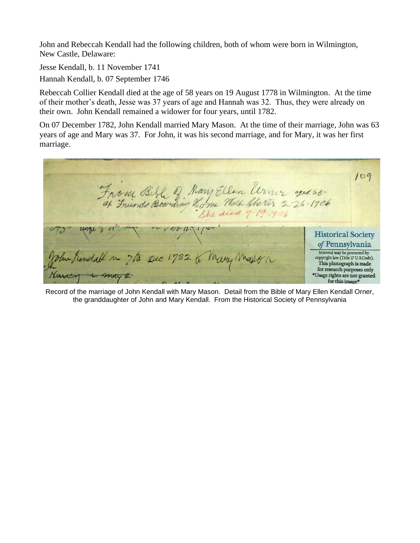John and Rebeccah Kendall had the following children, both of whom were born in Wilmington, New Castle, Delaware:

Jesse Kendall, b. 11 November 1741

Hannah Kendall, b. 07 September 1746

Rebeccah Collier Kendall died at the age of 58 years on 19 August 1778 in Wilmington. At the time of their mother's death, Jesse was 37 years of age and Hannah was 32. Thus, they were already on their own. John Kendall remained a widower for four years, until 1782.

On 07 December 1782, John Kendall married Mary Mason. At the time of their marriage, John was 63 years of age and Mary was 37. For John, it was his second marriage, and for Mary, it was her first marriage.

109 From Bible of Mary Ellen Urner and 85-<br>at Friends Boarding Home West blever 2-26-1906  $00+1111100$ **Historical Society** of Pennsylvania Material may be protected by<br>copyright law (Title 17 U.S.Code). 7th Dec 1782 & Mary Mason This photograph is made for research purposes only \*Usage rights are not granted for this image\*

Record of the marriage of John Kendall with Mary Mason. Detail from the Bible of Mary Ellen Kendall Orner, the granddaughter of John and Mary Kendall. From the Historical Society of Pennsylvania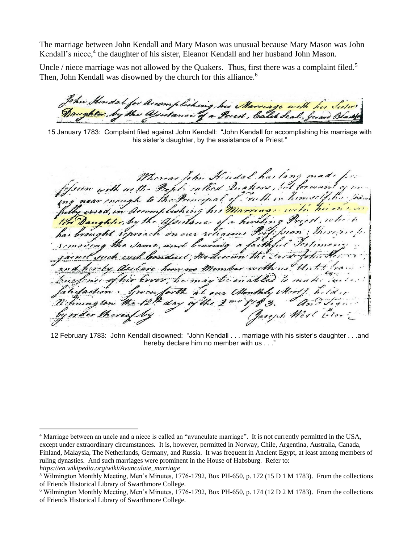The marriage between John Kendall and Mary Mason was unusual because Mary Mason was John Kendall's niece,<sup>4</sup> the daughter of his sister, Eleanor Kendall and her husband John Mason.

Uncle / niece marriage was not allowed by the Quakers. Thus, first there was a complaint filed.<sup>5</sup> Then, John Kendall was disowned by the church for this alliance.<sup>6</sup>

John Hendal for Accomplishing, his Marriage with his Seiter

15 January 1783: Complaint filed against John Kendall: "John Kendall for accomplishing his marriage with his sister's daughter, by the assistance of a Priest."

Wherear John Kindal has long made for with with Dept colled Quakers, but forward of the from any monet of the Propels colled Quakers, but forward of the from a, in secomplishing no manily and the contract proach on our religious Profitsion : there is the the Jame, and braning a faithful Testimony .. such cuil bonderd We drown the david John Hora " declare him no member with us, Until from in of hir Error, he may be inable action. Given forth at our Monthly 12th day of the 2 me 149.3. The Joseph West Citer

12 February 1783: John Kendall disowned: "John Kendall . . . marriage with his sister's daughter . . .and hereby declare him no member with us . . ."

<sup>4</sup> Marriage between an uncle and a niece is called an "avunculate marriage". It is not currently permitted in the USA, except under extraordinary circumstances. It is, however, permitted in [Norway,](https://en.wikipedia.org/wiki/Norway) [Chile,](https://en.wikipedia.org/wiki/Chile) [Argentina,](https://en.wikipedia.org/wiki/Argentina) [Australia,](https://en.wikipedia.org/wiki/Australia) [Canada,](https://en.wikipedia.org/wiki/Canada) [Finland,](https://en.wikipedia.org/wiki/Finland) [Malaysia,](https://en.wikipedia.org/wiki/Malaysia) [The Netherlands,](https://en.wikipedia.org/wiki/Netherlands) [Germany,](https://en.wikipedia.org/wiki/Germany) an[d Russia.](https://en.wikipedia.org/wiki/Russia) It was frequent in [Ancient Egypt,](https://en.wikipedia.org/wiki/Ancient_Egypt) at least among members of ruling dynasties. And such marriages were prominent in the [House of Habsburg.](https://en.wikipedia.org/wiki/House_of_Habsburg) Refer to: *https://en.wikipedia.org/wiki/Avunculate\_marriage*

<sup>5</sup> Wilmington Monthly Meeting, Men's Minutes, 1776-1792, Box PH-650, p. 172 (15 D 1 M 1783). From the collections of Friends Historical Library of Swarthmore College.

<sup>6</sup> Wilmington Monthly Meeting, Men's Minutes, 1776-1792, Box PH-650, p. 174 (12 D 2 M 1783). From the collections of Friends Historical Library of Swarthmore College.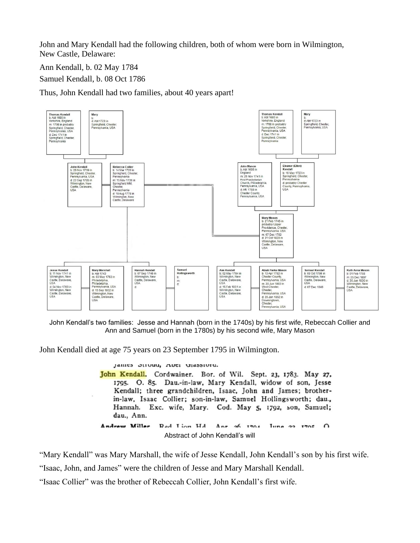John and Mary Kendall had the following children, both of whom were born in Wilmington, New Castle, Delaware:

Ann Kendall, b. 02 May 1784 Samuel Kendall, b. 08 Oct 1786

Thus, John Kendall had two families, about 40 years apart!



John Kendall's two families: Jesse and Hannah (born in the 1740s) by his first wife, Rebeccah Collier and Ann and Samuel (born in the 1780s) by his second wife, Mary Mason

John Kendall died at age 75 years on 23 September 1795 in Wilmington.

James Strouu, Aber Grassioru.

John Kendall. Cordwainer. Bor. of Wil. Sept. 23, 1783. May 27, O. 85. Dau .- in-law, Mary Kendall, widow of son, Jesse 1795. Kendall; three grandchildren, Isaac, John and James; brotherin-law, Isaac Collier; son-in-law, Samuel Hollingsworth; dau., Hannah. Exc. wife, Mary. Cod. May 5, 1792, son, Samuel; dau., Ann. Andrew Miller Red Lion Hd Apr  $26.1704$  $I$ une 22 1705  $\Omega$ 

Abstract of John Kendall's will

"Mary Kendall" was Mary Marshall, the wife of Jesse Kendall, John Kendall's son by his first wife.

"Isaac, John, and James" were the children of Jesse and Mary Marshall Kendall.

"Isaac Collier" was the brother of Rebeccah Collier, John Kendall's first wife.